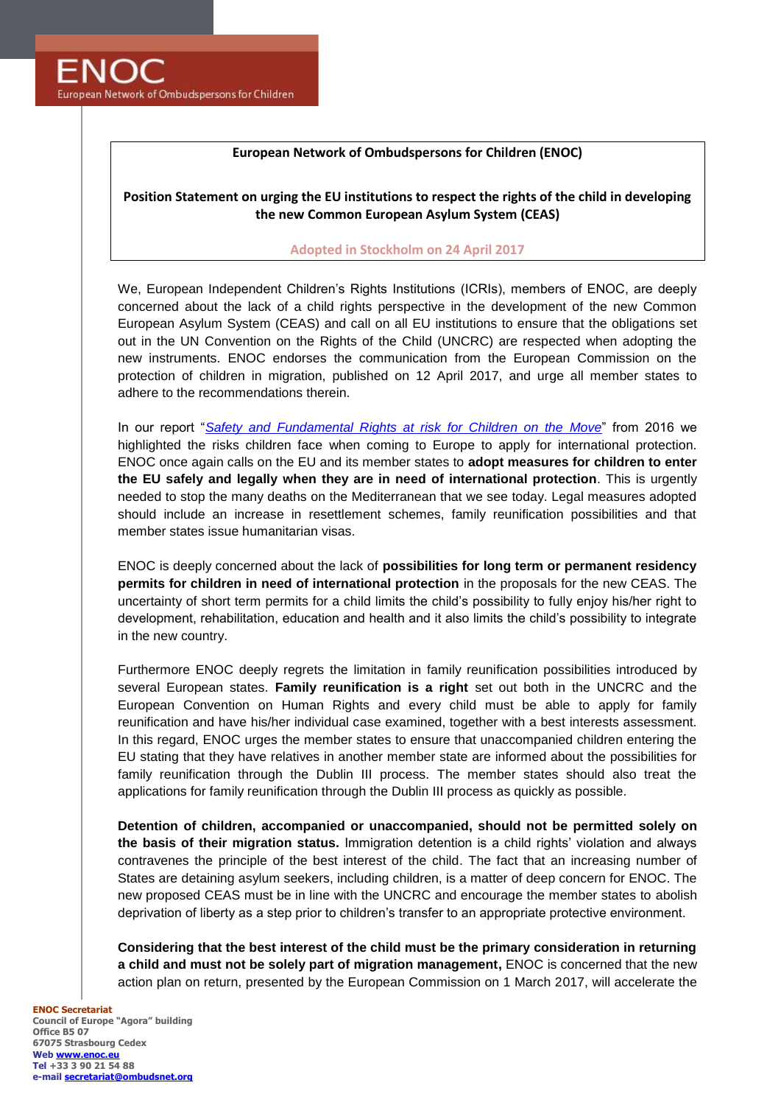

## **European Network of Ombudspersons for Children (ENOC)**

## **Position Statement on urging the EU institutions to respect the rights of the child in developing the new Common European Asylum System (CEAS)**

## **Adopted in Stockholm on 24 April 2017**

We, European Independent Children's Rights Institutions (ICRIs), members of ENOC, are deeply concerned about the lack of a child rights perspective in the development of the new Common European Asylum System (CEAS) and call on all EU institutions to ensure that the obligations set out in the UN Convention on the Rights of the Child (UNCRC) are respected when adopting the new instruments. ENOC endorses the communication from the European Commission on the protection of children in migration, published on 12 April 2017, and urge all member states to adhere to the recommendations therein.

In our report "*[Safety and Fundamental Rights at risk for Children on the Move](http://enoc.eu/wp-content/uploads/2016/01/ENOC-Task-Force-Children-on-the-Move-1st-report-25Jan2016.pdf)*" from 2016 we highlighted the risks children face when coming to Europe to apply for international protection. ENOC once again calls on the EU and its member states to **adopt measures for children to enter the EU safely and legally when they are in need of international protection**. This is urgently needed to stop the many deaths on the Mediterranean that we see today. Legal measures adopted should include an increase in resettlement schemes, family reunification possibilities and that member states issue humanitarian visas.

ENOC is deeply concerned about the lack of **possibilities for long term or permanent residency permits for children in need of international protection** in the proposals for the new CEAS. The uncertainty of short term permits for a child limits the child's possibility to fully enjoy his/her right to development, rehabilitation, education and health and it also limits the child's possibility to integrate in the new country.

Furthermore ENOC deeply regrets the limitation in family reunification possibilities introduced by several European states. **Family reunification is a right** set out both in the UNCRC and the European Convention on Human Rights and every child must be able to apply for family reunification and have his/her individual case examined, together with a best interests assessment. In this regard, ENOC urges the member states to ensure that unaccompanied children entering the EU stating that they have relatives in another member state are informed about the possibilities for family reunification through the Dublin III process. The member states should also treat the applications for family reunification through the Dublin III process as quickly as possible.

**Detention of children, accompanied or unaccompanied, should not be permitted solely on the basis of their migration status.** Immigration detention is a child rights' violation and always contravenes the principle of the best interest of the child. The fact that an increasing number of States are detaining asylum seekers, including children, is a matter of deep concern for ENOC. The new proposed CEAS must be in line with the UNCRC and encourage the member states to abolish deprivation of liberty as a step prior to children's transfer to an appropriate protective environment.

**Considering that the best interest of the child must be the primary consideration in returning a child and must not be solely part of migration management,** ENOC is concerned that the new action plan on return, presented by the European Commission on 1 March 2017, will accelerate the

**ENOC Secretariat Council of Europe "Agora" building Office B5 07 67075 Strasbourg Cedex Web [www.enoc.eu](http://www.enoc.eu/) Tel +33 3 90 21 54 88 e-mail [secretariat@ombudsnet.org](mailto:secretariat@ombudsnet.org)**